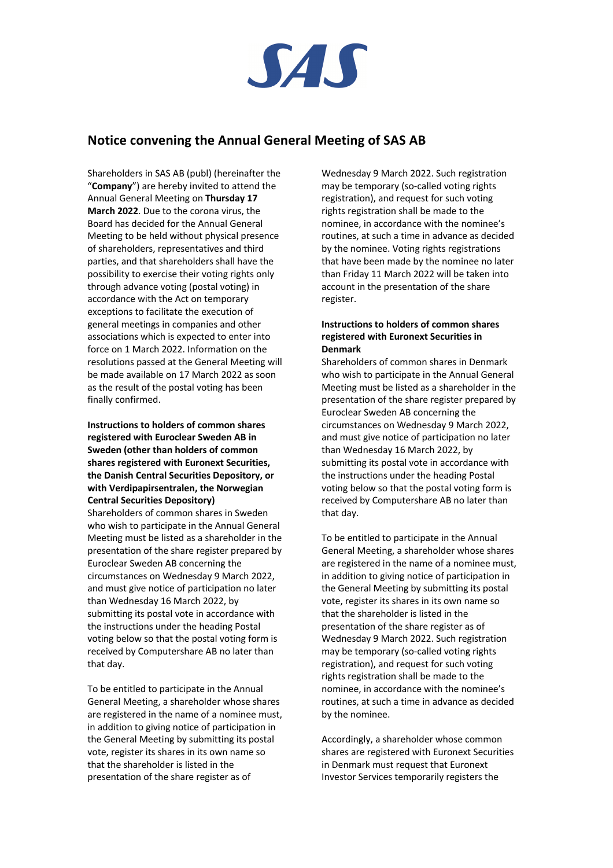

# **Notice convening the Annual General Meeting of SAS AB**

Shareholders in SAS AB (publ) (hereinafter the "**Company**") are hereby invited to attend the Annual General Meeting on **Thursday 17 March 2022**. Due to the corona virus, the Board has decided for the Annual General Meeting to be held without physical presence of shareholders, representatives and third parties, and that shareholders shall have the possibility to exercise their voting rights only through advance voting (postal voting) in accordance with the Act on temporary exceptions to facilitate the execution of general meetings in companies and other associations which is expected to enter into force on 1 March 2022. Information on the resolutions passed at the General Meeting will be made available on 17 March 2022 as soon as the result of the postal voting has been finally confirmed.

**Instructions to holders of common shares registered with Euroclear Sweden AB in Sweden (other than holders of common shares registered with Euronext Securities, the Danish Central Securities Depository, or with Verdipapirsentralen, the Norwegian Central Securities Depository)** Shareholders of common shares in Sweden who wish to participate in the Annual General Meeting must be listed as a shareholder in the presentation of the share register prepared by Euroclear Sweden AB concerning the circumstances on Wednesday 9 March 2022, and must give notice of participation no later than Wednesday 16 March 2022, by submitting its postal vote in accordance with the instructions under the heading Postal voting below so that the postal voting form is received by Computershare AB no later than that day.

To be entitled to participate in the Annual General Meeting, a shareholder whose shares are registered in the name of a nominee must, in addition to giving notice of participation in the General Meeting by submitting its postal vote, register its shares in its own name so that the shareholder is listed in the presentation of the share register as of

Wednesday 9 March 2022. Such registration may be temporary (so-called voting rights registration), and request for such voting rights registration shall be made to the nominee, in accordance with the nominee's routines, at such a time in advance as decided by the nominee. Voting rights registrations that have been made by the nominee no later than Friday 11 March 2022 will be taken into account in the presentation of the share register.

## **Instructions to holders of common shares registered with Euronext Securities in Denmark**

Shareholders of common shares in Denmark who wish to participate in the Annual General Meeting must be listed as a shareholder in the presentation of the share register prepared by Euroclear Sweden AB concerning the circumstances on Wednesday 9 March 2022, and must give notice of participation no later than Wednesday 16 March 2022, by submitting its postal vote in accordance with the instructions under the heading Postal voting below so that the postal voting form is received by Computershare AB no later than that day.

To be entitled to participate in the Annual General Meeting, a shareholder whose shares are registered in the name of a nominee must, in addition to giving notice of participation in the General Meeting by submitting its postal vote, register its shares in its own name so that the shareholder is listed in the presentation of the share register as of Wednesday 9 March 2022. Such registration may be temporary (so-called voting rights registration), and request for such voting rights registration shall be made to the nominee, in accordance with the nominee's routines, at such a time in advance as decided by the nominee.

Accordingly, a shareholder whose common shares are registered with Euronext Securities in Denmark must request that Euronext Investor Services temporarily registers the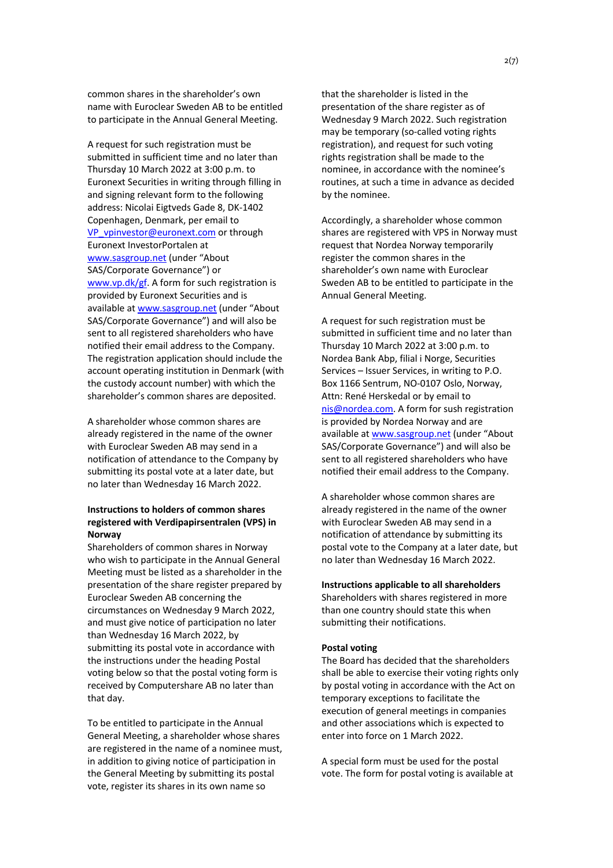common shares in the shareholder's own name with Euroclear Sweden AB to be entitled to participate in the Annual General Meeting.

A request for such registration must be submitted in sufficient time and no later than Thursday 10 March 2022 at 3:00 p.m. to Euronext Securities in writing through filling in and signing relevant form to the following address: Nicolai Eigtveds Gade 8, DK-1402 Copenhagen, Denmark, per email to VP\_vpinvestor@euronext.com or through Euronext InvestorPortalen at www.sasgroup.net (under "About SAS/Corporate Governance") or www.vp.dk/gf. A form for such registration is provided by Euronext Securities and is available at www.sasgroup.net (under "About SAS/Corporate Governance") and will also be sent to all registered shareholders who have notified their email address to the Company. The registration application should include the account operating institution in Denmark (with the custody account number) with which the shareholder's common shares are deposited.

A shareholder whose common shares are already registered in the name of the owner with Euroclear Sweden AB may send in a notification of attendance to the Company by submitting its postal vote at a later date, but no later than Wednesday 16 March 2022.

# **Instructions to holders of common shares registered with Verdipapirsentralen (VPS) in Norway**

Shareholders of common shares in Norway who wish to participate in the Annual General Meeting must be listed as a shareholder in the presentation of the share register prepared by Euroclear Sweden AB concerning the circumstances on Wednesday 9 March 2022, and must give notice of participation no later than Wednesday 16 March 2022, by submitting its postal vote in accordance with the instructions under the heading Postal voting below so that the postal voting form is received by Computershare AB no later than that day.

To be entitled to participate in the Annual General Meeting, a shareholder whose shares are registered in the name of a nominee must, in addition to giving notice of participation in the General Meeting by submitting its postal vote, register its shares in its own name so

that the shareholder is listed in the presentation of the share register as of Wednesday 9 March 2022. Such registration may be temporary (so-called voting rights registration), and request for such voting rights registration shall be made to the nominee, in accordance with the nominee's routines, at such a time in advance as decided by the nominee.

Accordingly, a shareholder whose common shares are registered with VPS in Norway must request that Nordea Norway temporarily register the common shares in the shareholder's own name with Euroclear Sweden AB to be entitled to participate in the Annual General Meeting.

A request for such registration must be submitted in sufficient time and no later than Thursday 10 March 2022 at 3:00 p.m. to Nordea Bank Abp, filial i Norge, Securities Services – Issuer Services, in writing to P.O. Box 1166 Sentrum, NO-0107 Oslo, Norway, Attn: René Herskedal or by email to nis@nordea.com. A form for sush registration is provided by Nordea Norway and are available at www.sasgroup.net (under "About SAS/Corporate Governance") and will also be sent to all registered shareholders who have notified their email address to the Company.

A shareholder whose common shares are already registered in the name of the owner with Euroclear Sweden AB may send in a notification of attendance by submitting its postal vote to the Company at a later date, but no later than Wednesday 16 March 2022.

#### **Instructions applicable to all shareholders**

Shareholders with shares registered in more than one country should state this when submitting their notifications.

### **Postal voting**

The Board has decided that the shareholders shall be able to exercise their voting rights only by postal voting in accordance with the Act on temporary exceptions to facilitate the execution of general meetings in companies and other associations which is expected to enter into force on 1 March 2022.

A special form must be used for the postal vote. The form for postal voting is available at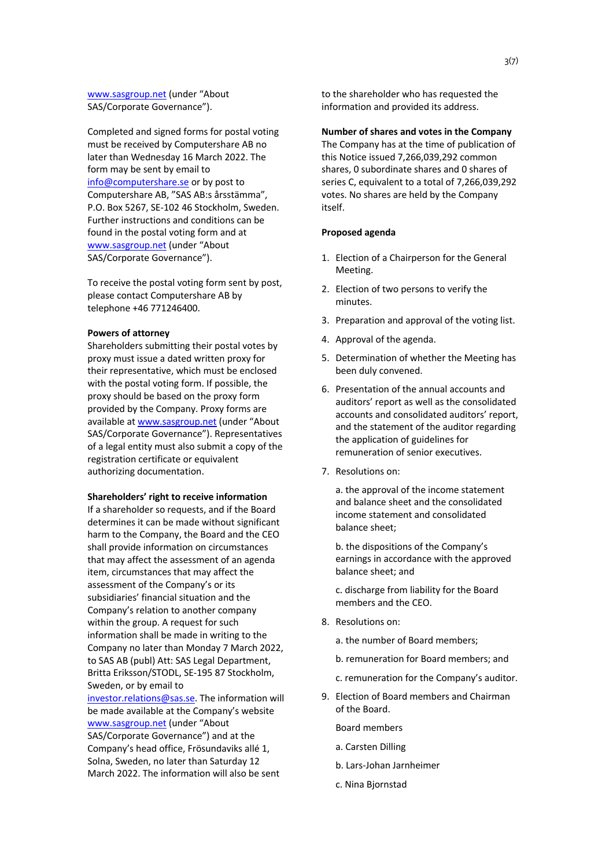www.sasgroup.net (under "About SAS/Corporate Governance").

Completed and signed forms for postal voting must be received by Computershare AB no later than Wednesday 16 March 2022. The form may be sent by email to info@computershare.se or by post to Computershare AB, "SAS AB:s årsstämma", P.O. Box 5267, SE-102 46 Stockholm, Sweden. Further instructions and conditions can be found in the postal voting form and at www.sasgroup.net (under "About SAS/Corporate Governance").

To receive the postal voting form sent by post, please contact Computershare AB by telephone +46 771246400.

### **Powers of attorney**

Shareholders submitting their postal votes by proxy must issue a dated written proxy for their representative, which must be enclosed with the postal voting form. If possible, the proxy should be based on the proxy form provided by the Company. Proxy forms are available at www.sasgroup.net (under "About SAS/Corporate Governance"). Representatives of a legal entity must also submit a copy of the registration certificate or equivalent authorizing documentation.

### **Shareholders' right to receive information**

If a shareholder so requests, and if the Board determines it can be made without significant harm to the Company, the Board and the CEO shall provide information on circumstances that may affect the assessment of an agenda item, circumstances that may affect the assessment of the Company's or its subsidiaries' financial situation and the Company's relation to another company within the group. A request for such information shall be made in writing to the Company no later than Monday 7 March 2022, to SAS AB (publ) Att: SAS Legal Department, Britta Eriksson/STODL, SE-195 87 Stockholm, Sweden, or by email to

investor.relations@sas.se. The information will be made available at the Company's website www.sasgroup.net (under "About SAS/Corporate Governance") and at the Company's head office, Frösundaviks allé 1, Solna, Sweden, no later than Saturday 12 March 2022. The information will also be sent

to the shareholder who has requested the information and provided its address.

### **Number of shares and votes in the Company**

The Company has at the time of publication of this Notice issued 7,266,039,292 common shares, 0 subordinate shares and 0 shares of series C, equivalent to a total of 7,266,039,292 votes. No shares are held by the Company itself.

### **Proposed agenda**

- 1. Election of a Chairperson for the General Meeting.
- 2. Election of two persons to verify the minutes.
- 3. Preparation and approval of the voting list.
- 4. Approval of the agenda.
- 5. Determination of whether the Meeting has been duly convened.
- 6. Presentation of the annual accounts and auditors' report as well as the consolidated accounts and consolidated auditors' report, and the statement of the auditor regarding the application of guidelines for remuneration of senior executives.
- 7. Resolutions on:

a. the approval of the income statement and balance sheet and the consolidated income statement and consolidated balance sheet;

b. the dispositions of the Company's earnings in accordance with the approved balance sheet; and

c. discharge from liability for the Board members and the CEO.

8. Resolutions on:

a. the number of Board members;

- b. remuneration for Board members; and
- c. remuneration for the Company's auditor.
- 9. Election of Board members and Chairman of the Board.
	- Board members
	- a. Carsten Dilling
	- b. Lars-Johan Jarnheimer
	- c. Nina Bjornstad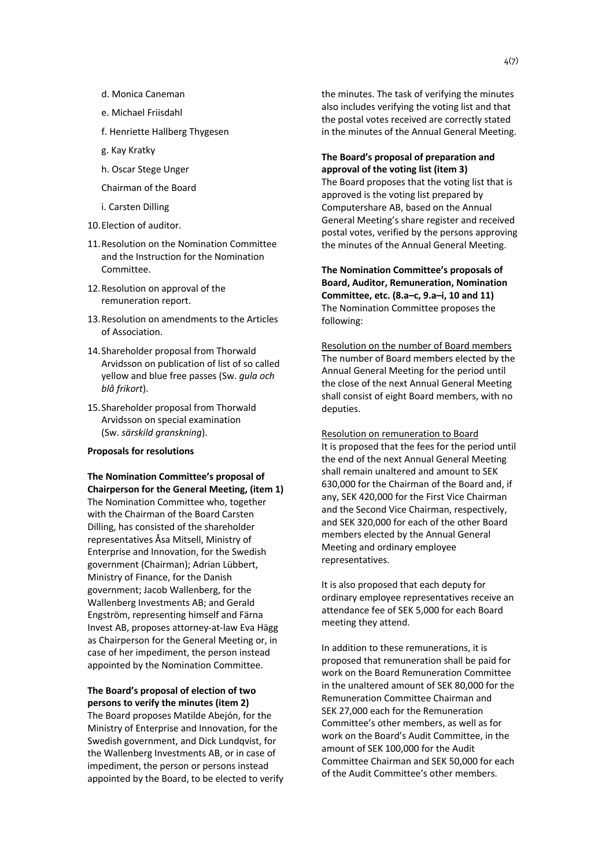- d. Monica Caneman
- e. Michael Friisdahl
- f. Henriette Hallberg Thygesen
- g. Kay Kratky
- h. Oscar Stege Unger
- Chairman of the Board
- i. Carsten Dilling
- 10.Election of auditor.
- 11.Resolution on the Nomination Committee and the Instruction for the Nomination Committee.
- 12.Resolution on approval of the remuneration report.
- 13.Resolution on amendments to the Articles of Association.
- 14.Shareholder proposal from Thorwald Arvidsson on publication of list of so called yellow and blue free passes (Sw. *gula och blå frikort*).
- 15.Shareholder proposal from Thorwald Arvidsson on special examination (Sw. *särskild granskning*).

### **Proposals for resolutions**

# **The Nomination Committee's proposal of Chairperson for the General Meeting, (item 1)**

The Nomination Committee who, together with the Chairman of the Board Carsten Dilling, has consisted of the shareholder representatives Åsa Mitsell, Ministry of Enterprise and Innovation, for the Swedish government (Chairman); Adrian Lübbert, Ministry of Finance, for the Danish government; Jacob Wallenberg, for the Wallenberg Investments AB; and Gerald Engström, representing himself and Färna Invest AB, proposes attorney-at-law Eva Hägg as Chairperson for the General Meeting or, in case of her impediment, the person instead appointed by the Nomination Committee.

# **The Board's proposal of election of two persons to verify the minutes (item 2)**

The Board proposes Matilde Abejón, for the Ministry of Enterprise and Innovation, for the Swedish government, and Dick Lundqvist, for the Wallenberg Investments AB, or in case of impediment, the person or persons instead appointed by the Board, to be elected to verify the minutes. The task of verifying the minutes also includes verifying the voting list and that the postal votes received are correctly stated in the minutes of the Annual General Meeting.

**The Board's proposal of preparation and approval of the voting list (item 3)** The Board proposes that the voting list that is approved is the voting list prepared by Computershare AB, based on the Annual General Meeting's share register and received postal votes, verified by the persons approving the minutes of the Annual General Meeting.

**The Nomination Committee's proposals of Board, Auditor, Remuneration, Nomination Committee, etc. (8.a–c, 9.a–i, 10 and 11)** The Nomination Committee proposes the following:

Resolution on the number of Board members The number of Board members elected by the Annual General Meeting for the period until the close of the next Annual General Meeting shall consist of eight Board members, with no deputies.

Resolution on remuneration to Board It is proposed that the fees for the period until the end of the next Annual General Meeting shall remain unaltered and amount to SEK 630,000 for the Chairman of the Board and, if any, SEK 420,000 for the First Vice Chairman and the Second Vice Chairman, respectively, and SEK 320,000 for each of the other Board members elected by the Annual General Meeting and ordinary employee representatives.

It is also proposed that each deputy for ordinary employee representatives receive an attendance fee of SEK 5,000 for each Board meeting they attend.

In addition to these remunerations, it is proposed that remuneration shall be paid for work on the Board Remuneration Committee in the unaltered amount of SEK 80,000 for the Remuneration Committee Chairman and SEK 27,000 each for the Remuneration Committee's other members, as well as for work on the Board's Audit Committee, in the amount of SEK 100,000 for the Audit Committee Chairman and SEK 50,000 for each of the Audit Committee's other members.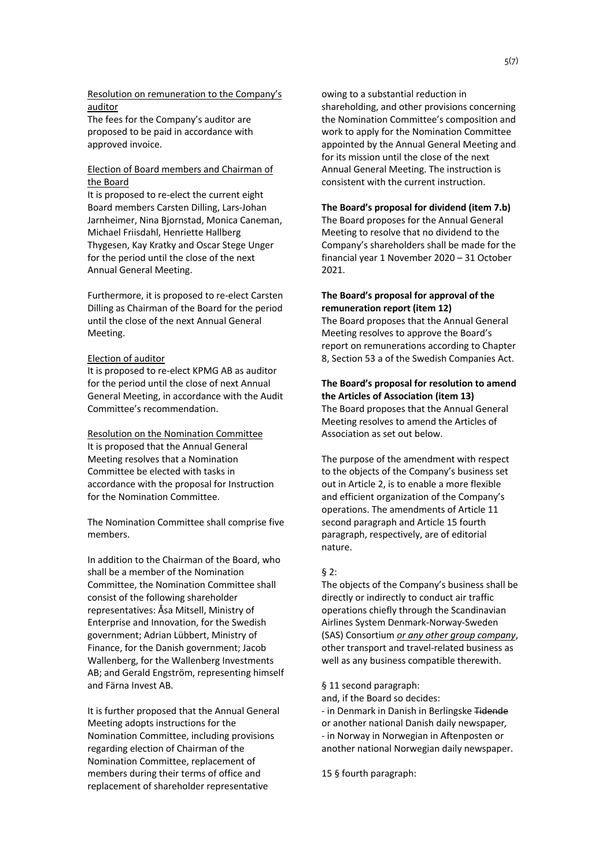Resolution on remuneration to the Company's auditor

The fees for the Company's auditor are proposed to be paid in accordance with approved invoice.

# Election of Board members and Chairman of the Board

It is proposed to re-elect the current eight Board members Carsten Dilling, Lars-Johan Jarnheimer, Nina Bjornstad, Monica Caneman, Michael Friisdahl, Henriette Hallberg Thygesen, Kay Kratky and Oscar Stege Unger for the period until the close of the next Annual General Meeting.

Furthermore, it is proposed to re-elect Carsten Dilling as Chairman of the Board for the period until the close of the next Annual General Meeting.

### Election of auditor

It is proposed to re-elect KPMG AB as auditor for the period until the close of next Annual General Meeting, in accordance with the Audit Committee's recommendation.

Resolution on the Nomination Committee It is proposed that the Annual General Meeting resolves that a Nomination Committee be elected with tasks in accordance with the proposal for Instruction for the Nomination Committee.

The Nomination Committee shall comprise five members.

In addition to the Chairman of the Board, who shall be a member of the Nomination Committee, the Nomination Committee shall consist of the following shareholder representatives: Åsa Mitsell, Ministry of Enterprise and Innovation, for the Swedish government; Adrian Lübbert, Ministry of Finance, for the Danish government; Jacob Wallenberg, for the Wallenberg Investments AB; and Gerald Engström, representing himself and Färna Invest AB.

It is further proposed that the Annual General Meeting adopts instructions for the Nomination Committee, including provisions regarding election of Chairman of the Nomination Committee, replacement of members during their terms of office and replacement of shareholder representative

owing to a substantial reduction in shareholding, and other provisions concerning the Nomination Committee's composition and work to apply for the Nomination Committee appointed by the Annual General Meeting and for its mission until the close of the next Annual General Meeting. The instruction is consistent with the current instruction.

#### **The Board's proposal for dividend (item 7.b)**

The Board proposes for the Annual General Meeting to resolve that no dividend to the Company's shareholders shall be made for the financial year 1 November 2020 – 31 October 2021.

# **The Board's proposal for approval of the remuneration report (item 12)**

The Board proposes that the Annual General Meeting resolves to approve the Board's report on remunerations according to Chapter 8, Section 53 a of the Swedish Companies Act.

### **The Board's proposal for resolution to amend the Articles of Association (item 13)**

The Board proposes that the Annual General Meeting resolves to amend the Articles of Association as set out below.

The purpose of the amendment with respect to the objects of the Company's business set out in Article 2, is to enable a more flexible and efficient organization of the Company's operations. The amendments of Article 11 second paragraph and Article 15 fourth paragraph, respectively, are of editorial nature.

### § 2:

The objects of the Company's business shall be directly or indirectly to conduct air traffic operations chiefly through the Scandinavian Airlines System Denmark-Norway-Sweden (SAS) Consortium *or any other group company*, other transport and travel-related business as well as any business compatible therewith.

§ 11 second paragraph:

and, if the Board so decides:

- in Denmark in Danish in Berlingske Tidende or another national Danish daily newspaper*,* - in Norway in Norwegian in Aftenposten or another national Norwegian daily newspaper.

15 § fourth paragraph: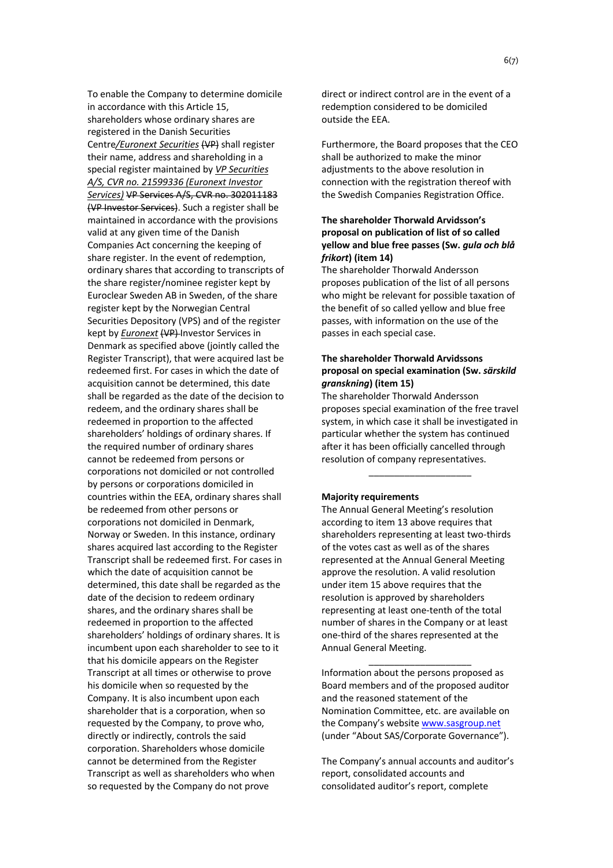To enable the Company to determine domicile in accordance with this Article 15, shareholders whose ordinary shares are registered in the Danish Securities Centre*/Euronext Securities* (VP) shall register their name, address and shareholding in a special register maintained by *VP Securities A/S, CVR no. 21599336 (Euronext Investor Services)* VP Services A/S, CVR no. 302011183 (VP Investor Services). Such a register shall be maintained in accordance with the provisions valid at any given time of the Danish Companies Act concerning the keeping of share register. In the event of redemption, ordinary shares that according to transcripts of the share register/nominee register kept by Euroclear Sweden AB in Sweden, of the share register kept by the Norwegian Central Securities Depository (VPS) and of the register kept by *Euronext* (VP) Investor Services in Denmark as specified above (jointly called the Register Transcript), that were acquired last be redeemed first. For cases in which the date of acquisition cannot be determined, this date shall be regarded as the date of the decision to redeem, and the ordinary shares shall be redeemed in proportion to the affected shareholders' holdings of ordinary shares. If the required number of ordinary shares cannot be redeemed from persons or corporations not domiciled or not controlled by persons or corporations domiciled in countries within the EEA, ordinary shares shall be redeemed from other persons or corporations not domiciled in Denmark, Norway or Sweden. In this instance, ordinary shares acquired last according to the Register Transcript shall be redeemed first. For cases in which the date of acquisition cannot be determined, this date shall be regarded as the date of the decision to redeem ordinary shares, and the ordinary shares shall be redeemed in proportion to the affected shareholders' holdings of ordinary shares. It is incumbent upon each shareholder to see to it that his domicile appears on the Register Transcript at all times or otherwise to prove his domicile when so requested by the Company. It is also incumbent upon each shareholder that is a corporation, when so requested by the Company, to prove who, directly or indirectly, controls the said corporation. Shareholders whose domicile cannot be determined from the Register Transcript as well as shareholders who when so requested by the Company do not prove

direct or indirect control are in the event of a redemption considered to be domiciled outside the EEA.

Furthermore, the Board proposes that the CEO shall be authorized to make the minor adjustments to the above resolution in connection with the registration thereof with the Swedish Companies Registration Office.

# **The shareholder Thorwald Arvidsson's proposal on publication of list of so called yellow and blue free passes (Sw.** *gula och blå frikort***) (item 14)**

The shareholder Thorwald Andersson proposes publication of the list of all persons who might be relevant for possible taxation of the benefit of so called yellow and blue free passes, with information on the use of the passes in each special case.

# **The shareholder Thorwald Arvidssons proposal on special examination (Sw.** *särskild granskning***) (item 15)**

The shareholder Thorwald Andersson proposes special examination of the free travel system, in which case it shall be investigated in particular whether the system has continued after it has been officially cancelled through resolution of company representatives.

\_\_\_\_\_\_\_\_\_\_\_\_\_\_\_\_\_\_\_\_

### **Majority requirements**

The Annual General Meeting's resolution according to item 13 above requires that shareholders representing at least two-thirds of the votes cast as well as of the shares represented at the Annual General Meeting approve the resolution. A valid resolution under item 15 above requires that the resolution is approved by shareholders representing at least one-tenth of the total number of shares in the Company or at least one-third of the shares represented at the Annual General Meeting.

Information about the persons proposed as Board members and of the proposed auditor and the reasoned statement of the Nomination Committee, etc. are available on the Company's website www.sasgroup.net (under "About SAS/Corporate Governance").

 $\_$ 

The Company's annual accounts and auditor's report, consolidated accounts and consolidated auditor's report, complete